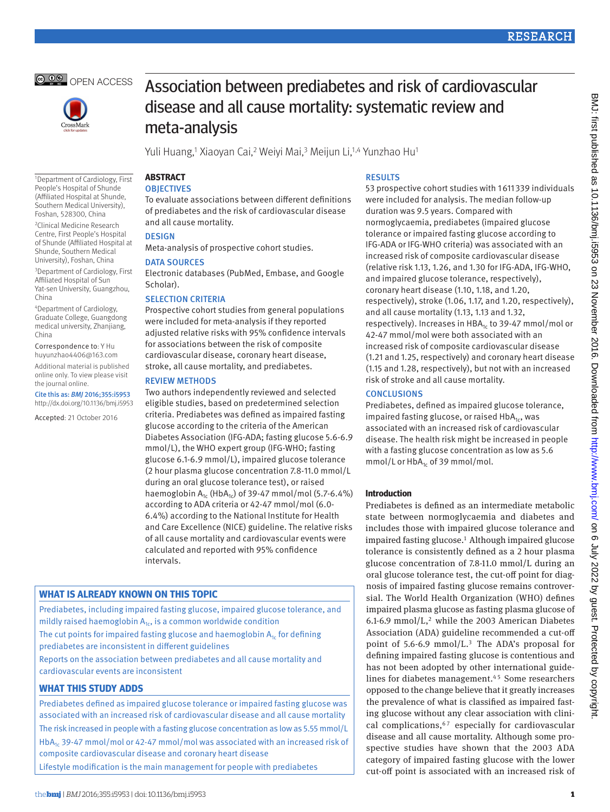

1Department of Cardiology, First People's Hospital of Shunde (Affiliated Hospital at Shunde, Southern Medical University), Foshan, 528300, China 2Clinical Medicine Research Centre, First People's Hospital of Shunde (Affiliated Hospital at Shunde, Southern Medical University), Foshan, China 3Department of Cardiology, First Affiliated Hospital of Sun Yat-sen University, Guangzhou,

4Department of Cardiology, Graduate College, Guangdong medical university, Zhanjiang,

Correspondence to: Y Hu huyunzhao4406@163.com Additional material is published online only. To view please visit

Cite this as: *BMJ* 2016;355:i5953 http://dx.doi.org/10.1136/bmj.i5953 Accepted: 21 October 2016

the journal online.

China

China



# Association between prediabetes and risk of cardiovascular disease and all cause mortality: systematic review and meta-analysis

Yuli Huang,<sup>1</sup> Xiaoyan Cai,<sup>2</sup> Weiyi Mai,<sup>3</sup> Meijun Li,<sup>1,4</sup> Yunzhao Hu<sup>1</sup>

### **ABSTRACT OBJECTIVES**

To evaluate associations between different definitions of prediabetes and the risk of cardiovascular disease and all cause mortality.

# **DESIGN**

Meta-analysis of prospective cohort studies.

# DATA SOURCES

Electronic databases (PubMed, Embase, and Google Scholar).

# **SELECTION CRITERIA**

Prospective cohort studies from general populations were included for meta-analysis if they reported adjusted relative risks with 95% confidence intervals for associations between the risk of composite cardiovascular disease, coronary heart disease, stroke, all cause mortality, and prediabetes.

# Review methods

Two authors independently reviewed and selected eligible studies, based on predetermined selection criteria. Prediabetes was defined as impaired fasting glucose according to the criteria of the American Diabetes Association (IFG-ADA; fasting glucose 5.6-6.9 mmol/L), the WHO expert group (IFG-WHO; fasting glucose 6.1-6.9 mmol/L), impaired glucose tolerance (2 hour plasma glucose concentration 7.8-11.0 mmol/L during an oral glucose tolerance test), or raised haemoglobin  $A_{1c}$  (Hb $A_{1c}$ ) of 39-47 mmol/mol (5.7-6.4%) according to ADA criteria or 42-47 mmol/mol (6.0- 6.4%) according to the National Institute for Health and Care Excellence (NICE) guideline. The relative risks of all cause mortality and cardiovascular events were calculated and reported with 95% confidence intervals.

# **What is already known on this topic**

Prediabetes, including impaired fasting glucose, impaired glucose tolerance, and mildly raised haemoglobin  $A_{1c}$ , is a common worldwide condition The cut points for impaired fasting glucose and haemoglobin  $A_{1c}$  for defining

prediabetes are inconsistent in different guidelines

Reports on the association between prediabetes and all cause mortality and cardiovascular events are inconsistent

# **What this study adds**

Prediabetes defined as impaired glucose tolerance or impaired fasting glucose was associated with an increased risk of cardiovascular disease and all cause mortality The risk increased in people with a fasting glucose concentration as low as 5.55 mmol/L HbA<sub>1c</sub> 39-47 mmol/mol or 42-47 mmol/mol was associated with an increased risk of composite cardiovascular disease and coronary heart disease Lifestyle modification is the main management for people with prediabetes

# **RESULTS**

53 prospective cohort studies with 1611339 individuals were included for analysis. The median follow-up duration was 9.5 years. Compared with normoglycaemia, prediabetes (impaired glucose tolerance or impaired fasting glucose according to IFG-ADA or IFG-WHO criteria) was associated with an increased risk of composite cardiovascular disease (relative risk 1.13, 1.26, and 1.30 for IFG-ADA, IFG-WHO, and impaired glucose tolerance, respectively), coronary heart disease (1.10, 1.18, and 1.20, respectively), stroke (1.06, 1.17, and 1.20, respectively), and all cause mortality (1.13, 1.13 and 1.32, respectively). Increases in HBA<sub>1c</sub> to 39-47 mmol/mol or 42-47 mmol/mol were both associated with an increased risk of composite cardiovascular disease (1.21 and 1.25, respectively) and coronary heart disease (1.15 and 1.28, respectively), but not with an increased risk of stroke and all cause mortality.

# **CONCLUSIONS**

Prediabetes, defined as impaired glucose tolerance, impaired fasting glucose, or raised  $HbA<sub>1c</sub>$ , was associated with an increased risk of cardiovascular disease. The health risk might be increased in people with a fasting glucose concentration as low as 5.6 mmol/L or  $HbA_{1c}$  of 39 mmol/mol.

# **Introduction**

Prediabetes is defined as an intermediate metabolic state between normoglycaemia and diabetes and includes those with impaired glucose tolerance and impaired fasting glucose.<sup>1</sup> Although impaired glucose tolerance is consistently defined as a 2 hour plasma glucose concentration of 7.8-11.0 mmol/L during an oral glucose tolerance test, the cut-off point for diagnosis of impaired fasting glucose remains controversial. The World Health Organization (WHO) defines impaired plasma glucose as fasting plasma glucose of 6.1-6.9 mmol/L,2 while the 2003 American Diabetes Association (ADA) guideline recommended a cut-off point of 5.6-6.9 mmol/L.3 The ADA's proposal for defining impaired fasting glucose is contentious and has not been adopted by other international guidelines for diabetes management.<sup>45</sup> Some researchers opposed to the change believe that it greatly increases the prevalence of what is classified as impaired fasting glucose without any clear association with clinical complications, $67$  especially for cardiovascular disease and all cause mortality. Although some prospective studies have shown that the 2003 ADA category of impaired fasting glucose with the lower cut-off point is associated with an increased risk of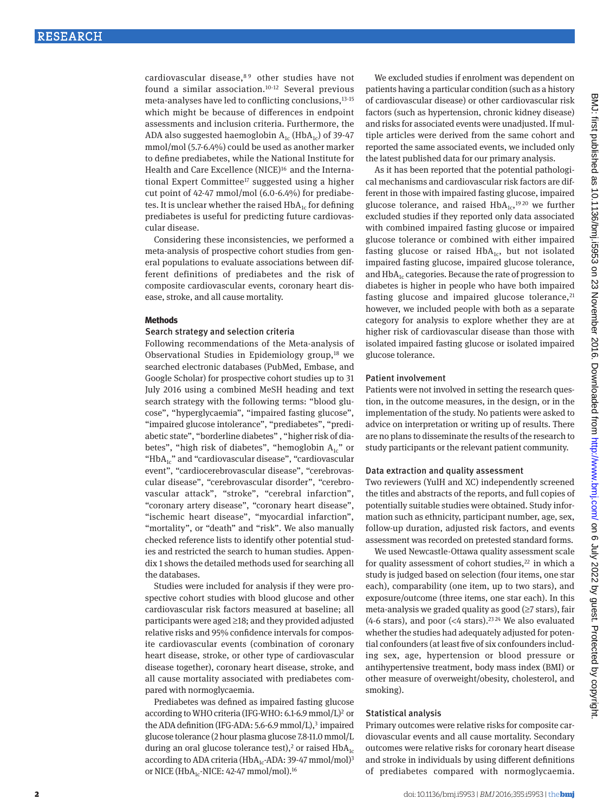cardiovascular disease,<sup>89</sup> other studies have not found a similar association.10-12 Several previous meta-analyses have led to conflicting conclusions,13-15 which might be because of differences in endpoint assessments and inclusion criteria. Furthermore, the ADA also suggested haemoglobin  $A_{1c}$  (Hb $A_{1c}$ ) of 39-47 mmol/mol (5.7-6.4%) could be used as another marker to define prediabetes, while the National Institute for Health and Care Excellence (NICE)<sup>16</sup> and the International Expert Committee<sup>17</sup> suggested using a higher cut point of 42-47 mmol/mol (6.0-6.4%) for prediabetes. It is unclear whether the raised  $HbA_{1c}$  for defining prediabetes is useful for predicting future cardiovascular disease.

Considering these inconsistencies, we performed a meta-analysis of prospective cohort studies from general populations to evaluate associations between different definitions of prediabetes and the risk of composite cardiovascular events, coronary heart disease, stroke, and all cause mortality.

#### **Methods**

#### Search strategy and selection criteria

Following recommendations of the Meta-analysis of Observational Studies in Epidemiology group,18 we searched electronic databases (PubMed, Embase, and Google Scholar) for prospective cohort studies up to 31 July 2016 using a combined MeSH heading and text search strategy with the following terms: "blood glucose", "hyperglycaemia", "impaired fasting glucose", "impaired glucose intolerance", "prediabetes", "prediabetic state", "borderline diabetes" , "higher risk of diabetes", "high risk of diabetes", "hemoglobin  $A_{1c}$ " or "Hb $A_{1c}$ " and "cardiovascular disease", "cardiovascular event", "cardiocerebrovascular disease", "cerebrovascular disease", "cerebrovascular disorder", "cerebrovascular attack", "stroke", "cerebral infarction", "coronary artery disease", "coronary heart disease", "ischemic heart disease", "myocardial infarction", "mortality", or "death" and "risk". We also manually checked reference lists to identify other potential studies and restricted the search to human studies. Appendix 1 shows the detailed methods used for searching all the databases.

Studies were included for analysis if they were prospective cohort studies with blood glucose and other cardiovascular risk factors measured at baseline; all participants were aged ≥18; and they provided adjusted relative risks and 95% confidence intervals for composite cardiovascular events (combination of coronary heart disease, stroke, or other type of cardiovascular disease together), coronary heart disease, stroke, and all cause mortality associated with prediabetes compared with normoglycaemia.

Prediabetes was defined as impaired fasting glucose according to WHO criteria (IFG-WHO: 6.1-6.9 mmol/L)2 or the ADA definition (IFG-ADA: 5.6-6.9 mmol/L),<sup>3</sup> impaired glucose tolerance (2 hour plasma glucose 7.8-11.0 mmol/L during an oral glucose tolerance test),<sup>2</sup> or raised  $HbA_{1c}$ according to ADA criteria (HbA<sub>1c</sub>-ADA: 39-47 mmol/mol)<sup>3</sup> or NICE (HbA<sub>1c</sub>-NICE: 42-47 mmol/mol).<sup>16</sup>

We excluded studies if enrolment was dependent on patients having a particular condition (such as a history of cardiovascular disease) or other cardiovascular risk factors (such as hypertension, chronic kidney disease) and risks for associated events were unadjusted. If multiple articles were derived from the same cohort and reported the same associated events, we included only the latest published data for our primary analysis.

As it has been reported that the potential pathological mechanisms and cardiovascular risk factors are different in those with impaired fasting glucose, impaired glucose tolerance, and raised  $HbA_{1c}$ ,<sup>1920</sup> we further excluded studies if they reported only data associated with combined impaired fasting glucose or impaired glucose tolerance or combined with either impaired fasting glucose or raised  $HbA_{1c}$ , but not isolated impaired fasting glucose, impaired glucose tolerance, and  $HbA<sub>1c</sub>$  categories. Because the rate of progression to diabetes is higher in people who have both impaired fasting glucose and impaired glucose tolerance, $21$ however, we included people with both as a separate category for analysis to explore whether they are at higher risk of cardiovascular disease than those with isolated impaired fasting glucose or isolated impaired glucose tolerance.

#### Patient involvement

Patients were not involved in setting the research question, in the outcome measures, in the design, or in the implementation of the study. No patients were asked to advice on interpretation or writing up of results. There are no plans to disseminate the results of the research to study participants or the relevant patient community.

# Data extraction and quality assessment

Two reviewers (YulH and XC) independently screened the titles and abstracts of the reports, and full copies of potentially suitable studies were obtained. Study information such as ethnicity, participant number, age, sex, follow-up duration, adjusted risk factors, and events assessment was recorded on pretested standard forms.

We used Newcastle-Ottawa quality assessment scale for quality assessment of cohort studies, $22$  in which a study is judged based on selection (four items, one star each), comparability (one item, up to two stars), and exposure/outcome (three items, one star each). In this meta-analysis we graded quality as good (≥7 stars), fair (4-6 stars), and poor  $(<$  4 stars).<sup>2324</sup> We also evaluated whether the studies had adequately adjusted for potential confounders (at least five of six confounders including sex, age, hypertension or blood pressure or antihypertensive treatment, body mass index (BMI) or other measure of overweight/obesity, cholesterol, and smoking).

# Statistical analysis

Primary outcomes were relative risks for composite cardiovascular events and all cause mortality. Secondary outcomes were relative risks for coronary heart disease and stroke in individuals by using different definitions of prediabetes compared with normoglycaemia.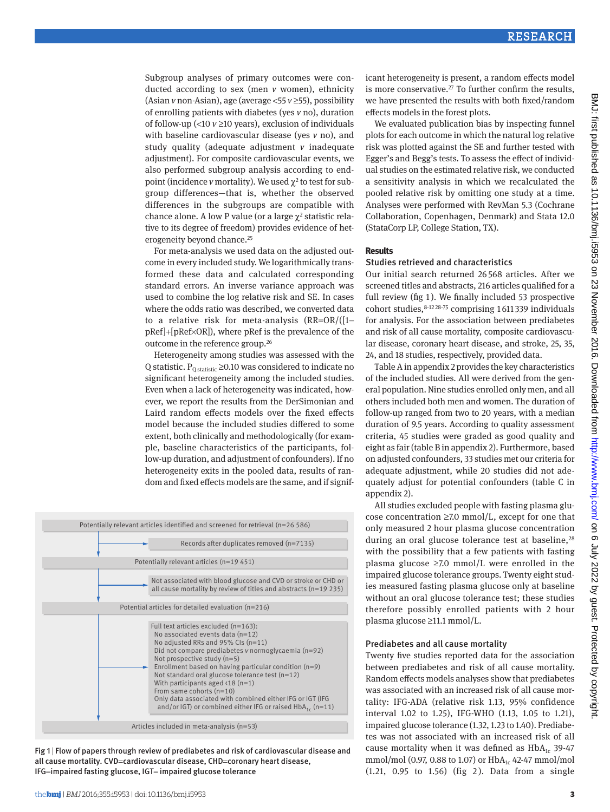Subgroup analyses of primary outcomes were conducted according to sex (men *v* women), ethnicity (Asian *v* non-Asian), age (average <55 *v* ≥55), possibility of enrolling patients with diabetes (yes *v* no), duration of follow-up (<10  $v \ge 10$  years), exclusion of individuals with baseline cardiovascular disease (yes *v* no), and study quality (adequate adjustment *v* inadequate adjustment). For composite cardiovascular events, we also performed subgroup analysis according to endpoint (incidence  $\nu$  mortality). We used  $\chi^2$  to test for subgroup differences—that is, whether the observed differences in the subgroups are compatible with chance alone. A low P value (or a large  $\chi^2$  statistic relative to its degree of freedom) provides evidence of heterogeneity beyond chance.<sup>25</sup>

For meta-analysis we used data on the adjusted outcome in every included study. We logarithmically transformed these data and calculated corresponding standard errors. An inverse variance approach was used to combine the log relative risk and SE. In cases where the odds ratio was described, we converted data to a relative risk for meta-analysis (RR=OR/([1− pRef]+[pRef×OR]), where pRef is the prevalence of the outcome in the reference group.26

Heterogeneity among studies was assessed with the Q statistic.  $P_{0 \text{ statistic}} \geq 0.10$  was considered to indicate no significant heterogeneity among the included studies. Even when a lack of heterogeneity was indicated, however, we report the results from the DerSimonian and Laird random effects models over the fixed effects model because the included studies differed to some extent, both clinically and methodologically (for example, baseline characteristics of the participants, follow-up duration, and adjustment of confounders). If no heterogeneity exits in the pooled data, results of random and fixed effects models are the same, and if signif-



Fig 1 | Flow of papers through review of prediabetes and risk of cardiovascular disease and all cause mortality. CVD=cardiovascular disease, CHD=coronary heart disease, IFG=impaired fasting glucose, IGT= impaired glucose tolerance

icant heterogeneity is present, a random effects model is more conservative.<sup>27</sup> To further confirm the results, we have presented the results with both fixed/random effects models in the forest plots.

We evaluated publication bias by inspecting funnel plots for each outcome in which the natural log relative risk was plotted against the SE and further tested with Egger's and Begg's tests. To assess the effect of individual studies on the estimated relative risk, we conducted a sensitivity analysis in which we recalculated the pooled relative risk by omitting one study at a time. Analyses were performed with RevMan 5.3 (Cochrane Collaboration, Copenhagen, Denmark) and Stata 12.0 (StataCorp LP, College Station, TX).

#### **Results**

#### Studies retrieved and characteristics

Our initial search returned 26 568 articles. After we screened titles and abstracts, 216 articles qualified for a full review (fig 1). We finally included 53 prospective cohort studies,  $8-1228-75$  comprising 1611339 individuals for analysis. For the association between prediabetes and risk of all cause mortality, composite cardiovascular disease, coronary heart disease, and stroke, 25, 35, 24, and 18 studies, respectively, provided data.

Table A in appendix 2 provides the key characteristics of the included studies. All were derived from the general population. Nine studies enrolled only men, and all others included both men and women. The duration of follow-up ranged from two to 20 years, with a median duration of 9.5 years. According to quality assessment criteria, 45 studies were graded as good quality and eight as fair (table B in appendix 2). Furthermore, based on adjusted confounders, 33 studies met our criteria for adequate adjustment, while 20 studies did not adequately adjust for potential confounders (table C in appendix 2).

All studies excluded people with fasting plasma glucose concentration ≥7.0 mmol/L, except for one that only measured 2 hour plasma glucose concentration during an oral glucose tolerance test at baseline,<sup>28</sup> with the possibility that a few patients with fasting plasma glucose ≥7.0 mmol/L were enrolled in the impaired glucose tolerance groups. Twenty eight studies measured fasting plasma glucose only at baseline without an oral glucose tolerance test; these studies therefore possibly enrolled patients with 2 hour plasma glucose ≥11.1 mmol/L.

## Prediabetes and all cause mortality

Twenty five studies reported data for the association between prediabetes and risk of all cause mortality. Random effects models analyses show that prediabetes was associated with an increased risk of all cause mortality: IFG-ADA (relative risk 1.13, 95% confidence interval 1.02 to 1.25), IFG-WHO (1.13, 1.05 to 1.21), impaired glucose tolerance (1.32, 1.23 to 1.40). Prediabetes was not associated with an increased risk of all cause mortality when it was defined as  $HbA_{1c}$  39-47 mmol/mol (0.97, 0.88 to 1.07) or  $HbA_{1c}$  42-47 mmol/mol (1.21, 0.95 to 1.56) (fig 2). Data from a single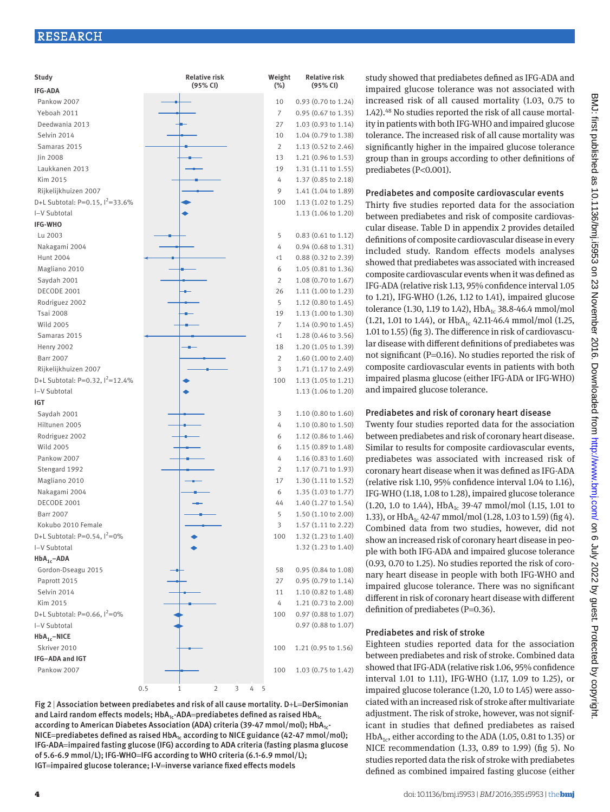# RESEARCH

| Relative risk | Weight              | Relative risk                                               |
|---------------|---------------------|-------------------------------------------------------------|
|               |                     | (95% CI)                                                    |
|               | 10                  | 0.93 (0.70 to 1.24)                                         |
|               | 7                   | 0.95 (0.67 to 1.35)                                         |
|               | 27                  | 1.03 (0.93 to 1.14)                                         |
|               | 10                  | 1.04 (0.79 to 1.38)                                         |
|               | $\overline{2}$      | 1.13 (0.52 to 2.46)                                         |
|               | 13                  | 1.21 (0.96 to 1.53)                                         |
|               | 19                  | 1.31 (1.11 to 1.55)                                         |
|               | 4                   | 1.37 (0.85 to 2.18)                                         |
|               | 9                   | 1.41 (1.04 to 1.89)                                         |
|               | 100                 | 1.13 (1.02 to 1.25)                                         |
|               |                     | 1.13 (1.06 to 1.20)                                         |
|               |                     |                                                             |
|               | 5                   | 0.83 (0.61 to 1.12)                                         |
|               | 4                   | 0.94 (0.68 to 1.31)                                         |
|               | $\langle 1 \rangle$ | 0.88 (0.32 to 2.39)                                         |
|               | 6                   | 1.05 (0.81 to 1.36)                                         |
|               | 2                   | 1.08 (0.70 to 1.67)                                         |
|               | 26                  | 1.11 (1.00 to 1.23)                                         |
|               | 5                   | 1.12 (0.80 to 1.45)                                         |
|               | 19                  | 1.13 (1.00 to 1.30)                                         |
|               | 7                   | 1.14 (0.90 to 1.45)                                         |
|               | $\langle 1$         | 1.28 (0.46 to 3.56)                                         |
|               | 18                  | 1.20 (1.05 to 1.39)                                         |
|               | $\overline{2}$      | 1.60 (1.00 to 2.40)                                         |
|               | 3                   | 1.71 (1.17 to 2.49)                                         |
|               | 100                 | 1.13 (1.05 to 1.21)                                         |
|               |                     | 1.13 (1.06 to 1.20)                                         |
|               |                     |                                                             |
|               | 3                   | 1.10 (0.80 to 1.60)                                         |
|               | 4                   | 1.10 (0.80 to 1.50)                                         |
|               | 6                   | 1.12 (0.86 to 1.46)                                         |
|               | 6                   | 1.15 (0.89 to 1.48)                                         |
|               | 4                   | 1.16 (0.83 to 1.60)                                         |
|               | 2                   | 1.17 (0.71 to 1.93)                                         |
|               | 17                  | 1.30 (1.11 to 1.52)                                         |
|               | 6                   | 1.35 (1.03 to 1.77)                                         |
|               |                     | 1.40 (1.27 to 1.54)                                         |
|               |                     | 1.50 (1.10 to 2.00)                                         |
|               |                     | 1.57 (1.11 to 2.22)                                         |
|               |                     | 1.32 (1.23 to 1.40)                                         |
|               |                     | 1.32 (1.23 to 1.40)                                         |
|               |                     |                                                             |
|               |                     | 0.95 (0.84 to 1.08)                                         |
|               |                     | 0.95 (0.79 to 1.14)                                         |
|               |                     | 1.10 (0.82 to 1.48)                                         |
|               |                     | 1.21 (0.73 to 2.00)                                         |
|               |                     | 0.97 (0.88 to 1.07)                                         |
|               |                     | 0.97 (0.88 to 1.07)                                         |
|               |                     |                                                             |
|               |                     |                                                             |
|               |                     |                                                             |
|               | 100                 | $1.21$ (0.95 to 1.56)                                       |
|               | (95% CI)            | $(\%)$<br>44<br>5<br>3<br>100<br>58<br>27<br>11<br>4<br>100 |

**Relative risk**

Fig 2 | Association between prediabetes and risk of all cause mortality. D+L=DerSimonian and Laird random effects models;  $HbA_{1c}$ -ADA=prediabetes defined as raised  $HbA_{1c}$ according to American Diabetes Association (ADA) criteria (39-47 mmol/mol);  $HbA_{1c}$ -NICE=prediabetes defined as raised  $HbA_{1c}$  according to NICE guidance (42-47 mmol/mol); IFG-ADA=impaired fasting glucose (IFG) according to ADA criteria (fasting plasma glucose of 5.6-6.9 mmol/L); IFG-WHO=IFG according to WHO criteria (6.1-6.9 mmol/L); IGT=impaired glucose tolerance; I-V=inverse variance fixed effects models

study showed that prediabetes defined as IFG-ADA and impaired glucose tolerance was not associated with increased risk of all caused mortality (1.03, 0.75 to 1.42).<sup>48</sup> No studies reported the risk of all cause mortality in patients with both IFG-WHO and impaired glucose tolerance. The increased risk of all cause mortality was significantly higher in the impaired glucose tolerance group than in groups according to other definitions of prediabetes (P<0.001).

 $to 1.24$ to 1.35)  $to 1.14$ to 1.38)  $to 2.46)$  $to 1.53$  $to 1.55$ to 2.18) to 1.89) to 1.25) to  $1.20$ )

**Weight**

 $1.12$  $to 1.31$ to 2.39)  $to 1.36$ to 1.67)  $to 1.23$  $to 1.45$ to 1.30)  $to 1.45$ to 3.56) to 1.39)  $10.2.40$ to 2.49) to 1.21) to 1.20)

 $to 1.60$  $to 1.50$  $to 1.46$  $to 1.48$  $1.60$ to 1.93)  $to 1.52$ to 1.77) to  $1.54$ ) to 2.00) to 2.22) to 1.40)  $to 1.40$ 

to 1.08) to 1.14) to 1.48) to 2.00)  $to 1.07$ to 1.07)

to  $1.42$ )

# Prediabetes and composite cardiovascular events

Thirty five studies reported data for the association between prediabetes and risk of composite cardiovascular disease. Table D in appendix 2 provides detailed definitions of composite cardiovascular disease in every included study. Random effects models analyses showed that prediabetes was associated with increased composite cardiovascular events when it was defined as IFG-ADA (relative risk 1.13, 95% confidence interval 1.05 to 1.21), IFG-WHO (1.26, 1.12 to 1.41), impaired glucose tolerance (1.30, 1.19 to 1.42),  $HbA_{1c}$  38.8-46.4 mmol/mol  $(1.21, 1.01 \text{ to } 1.44)$ , or  $HbA_{1c}$  42.11-46.4 mmol/mol (1.25, 1.01 to 1.55) (fig 3). The difference in risk of cardiovascular disease with different definitions of prediabetes was not significant (P=0.16). No studies reported the risk of composite cardiovascular events in patients with both impaired plasma glucose (either IFG-ADA or IFG-WHO) and impaired glucose tolerance.

# Prediabetes and risk of coronary heart disease

Twenty four studies reported data for the association between prediabetes and risk of coronary heart disease. Similar to results for composite cardiovascular events, prediabetes was associated with increased risk of coronary heart disease when it was defined as IFG-ADA (relative risk 1.10, 95% confidence interval 1.04 to 1.16), IFG-WHO (1.18, 1.08 to 1.28), impaired glucose tolerance  $(1.20, 1.0 \text{ to } 1.44)$ ,  $HbA_{1c}$  39-47 mmol/mol  $(1.15, 1.01 \text{ to } 1.44)$ 1.33), or HbA<sub>1c</sub> 42-47 mmol/mol (1.28, 1.03 to 1.59) (fig 4). Combined data from two studies, however, did not show an increased risk of coronary heart disease in people with both IFG-ADA and impaired glucose tolerance (0.93, 0.70 to 1.25). No studies reported the risk of coronary heart disease in people with both IFG-WHO and impaired glucose tolerance. There was no significant different in risk of coronary heart disease with different definition of prediabetes (P=0.36).

# Prediabetes and risk of stroke

Eighteen studies reported data for the association between prediabetes and risk of stroke. Combined data showed that IFG-ADA (relative risk 1.06, 95% confidence interval 1.01 to 1.11), IFG-WHO (1.17, 1.09 to 1.25), or impaired glucose tolerance (1.20, 1.0 to 1.45) were associated with an increased risk of stroke after multivariate adjustment. The risk of stroke, however, was not significant in studies that defined prediabetes as raised  $HbA<sub>1c</sub>$ , either according to the ADA (1.05, 0.81 to 1.35) or NICE recommendation (1.33, 0.89 to 1.99) (fig 5). No studies reported data the risk of stroke with prediabetes defined as combined impaired fasting glucose (either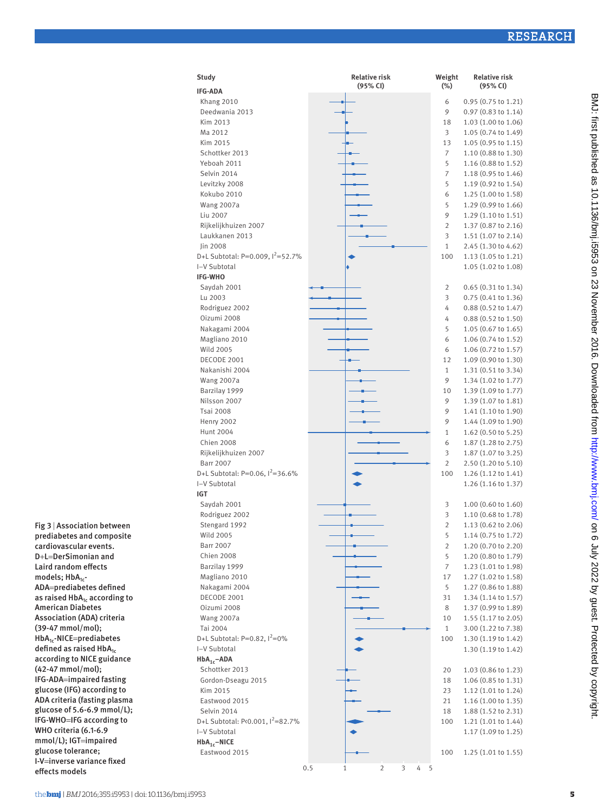| Study                               | <b>Relative risk</b>                 | Weight         | <b>Relative risk</b>          |
|-------------------------------------|--------------------------------------|----------------|-------------------------------|
| <b>IFG-ADA</b>                      | (95% CI)                             | $(\%)$         | (95% CI)                      |
| Khang 2010                          |                                      | 6              | $0.95(0.75 \text{ to } 1.21)$ |
| Deedwania 2013                      |                                      | 9              | $0.97(0.83 \text{ to } 1.14)$ |
| Kim 2013                            |                                      | 18             | 1.03(1.00 to 1.06)            |
| Ma 2012                             |                                      | 3              | $1.05(0.74 \text{ to } 1.49)$ |
| Kim 2015                            |                                      | 13             | $1.05(0.95 \text{ to } 1.15)$ |
| Schottker 2013                      |                                      | 7              | 1.10 (0.88 to 1.30)           |
| Yeboah 2011                         |                                      | 5              | $1.16(0.88 \text{ to } 1.52)$ |
| Selvin 2014                         |                                      | $\overline{7}$ | 1.18 (0.95 to 1.46)           |
| Levitzky 2008                       |                                      | 5              | $1.19(0.92 \text{ to } 1.54)$ |
| Kokubo 2010                         |                                      | 6              | 1.25 (1.00 to 1.58)           |
| <b>Wang 2007a</b>                   |                                      | 5              | $1.29(0.99 \text{ to } 1.66)$ |
| Liu 2007                            |                                      | 9              | $1.29(1.10 \text{ to } 1.51)$ |
| Rijkelijkhuizen 2007                |                                      | $\overline{2}$ | 1.37 (0.87 to 2.16)           |
| Laukkanen 2013                      |                                      | 3              | 1.51 (1.07 to 2.14)           |
| Jin 2008                            |                                      | $\mathbf{1}$   | 2.45(1.30 to 4.62)            |
| D+L Subtotal: P=0.009, $1^2$ =52.7% |                                      | 100            | 1.13(1.05 to 1.21)            |
| I-V Subtotal                        |                                      |                | 1.05 (1.02 to 1.08)           |
| <b>IFG-WHO</b>                      |                                      |                |                               |
| Saydah 2001                         |                                      | $\overline{2}$ | $0.65$ $(0.31$ to $1.34)$     |
| Lu 2003                             |                                      | 3              | $0.75(0.41 \text{ to } 1.36)$ |
| Rodriguez 2002                      |                                      | 4              | $0.88(0.52 \text{ to } 1.47)$ |
| Oizumi 2008                         |                                      | 4              | $0.88(0.52 \text{ to } 1.50)$ |
| Nakagami 2004                       |                                      | 5              | $1.05(0.67 \text{ to } 1.65)$ |
| Magliano 2010                       |                                      | 6              | $1.06$ $(0.74$ to $1.52)$     |
| <b>Wild 2005</b>                    |                                      | 6              | 1.06 (0.72 to 1.57)           |
| DECODE 2001                         |                                      | 12             | 1.09 (0.90 to 1.30)           |
| Nakanishi 2004                      |                                      | $\mathbf{1}$   | 1.31 (0.51 to 3.34)           |
| <b>Wang 2007a</b>                   |                                      | 9              | 1.34 (1.02 to 1.77)           |
| Barzilay 1999                       |                                      | 10             | 1.39 (1.09 to 1.77)           |
| Nilsson 2007                        |                                      | 9              | 1.39 (1.07 to 1.81)           |
| <b>Tsai 2008</b>                    |                                      | 9              | 1.41 (1.10 to 1.90)           |
| <b>Henry 2002</b>                   |                                      | 9              | 1.44 (1.09 to 1.90)           |
| <b>Hunt 2004</b>                    |                                      | $\mathbf{1}$   | $1.62$ (0.50 to 5.25)         |
| <b>Chien 2008</b>                   |                                      | 6              | $1.87(1.28 \text{ to } 2.75)$ |
| Rijkelijkhuizen 2007                |                                      | 3              | $1.87(1.07 \text{ to } 3.25)$ |
| <b>Barr 2007</b>                    |                                      | $\overline{2}$ | 2.50(1.20 to 5.10)            |
| D+L Subtotal: P=0.06, $1^2$ =36.6%  |                                      | 100            | $1.26(1.12 \text{ to } 1.41)$ |
| I-V Subtotal                        |                                      |                | 1.26 (1.16 to 1.37)           |
| <b>IGT</b>                          |                                      |                |                               |
| Saydah 2001                         |                                      | 3              | $1.00$ $(0.60$ to $1.60)$     |
| Rodriguez 2002                      |                                      | 3              | 1.10 (0.68 to 1.78)           |
| Stengard 1992                       |                                      | $\overline{2}$ | 1.13 (0.62 to 2.06)           |
| Wild 2005                           |                                      | 5              | 1.14 (0.75 to 1.72)           |
| <b>Barr 2007</b>                    |                                      | $\overline{2}$ | 1.20 (0.70 to 2.20)           |
| Chien 2008                          |                                      | 5              | 1.20 (0.80 to 1.79)           |
| Barzilay 1999                       |                                      | 7              | 1.23 (1.01 to 1.98)           |
| Magliano 2010                       |                                      | 17             | $1.27(1.02 \text{ to } 1.58)$ |
| Nakagami 2004                       |                                      | 5              | 1.27 (0.86 to 1.88)           |
| DECODE 2001                         |                                      | 31             | $1.34(1.14 \text{ to } 1.57)$ |
| Oizumi 2008                         |                                      | 8              | 1.37 (0.99 to 1.89)           |
| <b>Wang 2007a</b>                   |                                      | 10             | $1.55(1.17 \text{ to } 2.05)$ |
| Tai 2004                            |                                      | $\mathbf{1}$   | $3.00$ $(1.22$ to $7.38)$     |
| D+L Subtotal: P=0.82, $I^2=0\%$     |                                      | 100            | 1.30 (1.19 to 1.42)           |
| I-V Subtotal                        |                                      |                | 1.30 (1.19 to 1.42)           |
| $HbA_{1c}$ -ADA                     |                                      |                |                               |
| Schottker 2013                      |                                      | 20             | 1.03 (0.86 to 1.23)           |
| Gordon-Dseagu 2015                  |                                      | 18             | $1.06(0.85 \text{ to } 1.31)$ |
| Kim 2015                            |                                      | 23             | 1.12 (1.01 to 1.24)           |
| Eastwood 2015                       |                                      | 21             | 1.16(1.00 to 1.35)            |
| Selvin 2014                         |                                      | 18             | 1.88 (1.52 to 2.31)           |
| D+L Subtotal: P<0.001, $1^2$ =82.7% |                                      | 100            | 1.21(1.01 to 1.44)            |
| I-V Subtotal                        |                                      |                | $1.17(1.09 \text{ to } 1.25)$ |
| $HbA_1$ , -NICE                     |                                      |                |                               |
| Eastwood 2015                       |                                      | 100            | $1.25(1.01 \text{ to } 1.55)$ |
|                                     | 0.5<br>$\overline{2}$<br>3<br>5<br>4 |                |                               |

American Diabetes Association (ADA) criteria (39-47 mmol/mol); HbA<sub>1c</sub>-NICE=prediabetes defined as raised  $HbA_{1c}$ according to NICE guidance (42-47 mmol/mol); IFG-ADA=impaired fasting glucose (IFG) according to ADA criteria (fasting plasma glucose of 5.6-6.9 mmol/L); IFG-WHO=IFG according to WHO criteria (6.1-6.9 mmol/L); IGT=impaired glucose tolerance; I-V=inverse variance fixed effects models

Fig 3 | Association between prediabetes and composite cardiovascular events. D+L=DerSimonian and Laird random effects models;  $HbA_{1c}$ -

ADA=prediabetes defined as raised  $HbA_{1c}$  according to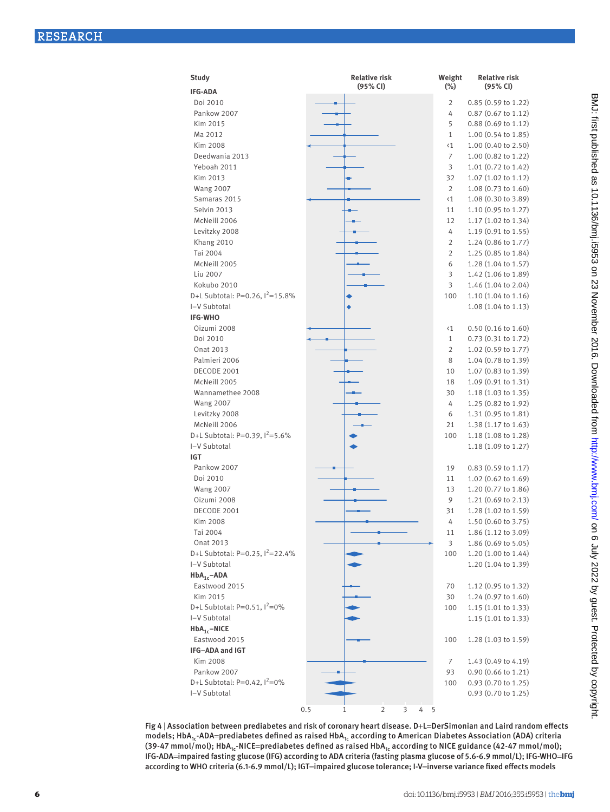| Study                              | <b>Relative risk</b>                 | Weight      | <b>Relative risk</b>                       |
|------------------------------------|--------------------------------------|-------------|--------------------------------------------|
| <b>IFG-ADA</b>                     | (95% CI)                             | $(\%)$      | (95% CI)                                   |
| Doi 2010                           |                                      | 2           | $0.85(0.59 \text{ to } 1.22)$              |
| Pankow 2007                        |                                      | 4           | $0.87$ (0.67 to 1.12)                      |
| Kim 2015                           |                                      | 5           | $0.88$ (0.69 to 1.12)                      |
| Ma 2012                            |                                      | 1           | $1.00(0.54 \text{ to } 1.85)$              |
| Kim 2008                           |                                      | $\langle 1$ | $1.00$ (0.40 to 2.50)                      |
| Deedwania 2013                     |                                      | 7           | 1.00 (0.82 to 1.22)                        |
| Yeboah 2011                        |                                      | 3           | 1.01 (0.72 to 1.42)                        |
| Kim 2013                           |                                      | 32          | 1.07 (1.02 to 1.12)                        |
| <b>Wang 2007</b>                   |                                      | 2           | 1.08 (0.73 to 1.60)                        |
| Samaras 2015                       |                                      | $\langle 1$ | 1.08 (0.30 to 3.89)                        |
| Selvin 2013                        |                                      | 11          | 1.10 (0.95 to 1.27)                        |
| McNeill 2006                       |                                      | 12          | 1.17 (1.02 to 1.34)                        |
| Levitzky 2008                      |                                      | 4           | $1.19(0.91 \text{ to } 1.55)$              |
| Khang 2010                         |                                      | 2           | 1.24 (0.86 to 1.77)                        |
| Tai 2004                           |                                      | 2           | 1.25 (0.85 to 1.84)                        |
| McNeill 2005                       |                                      | 6           | 1.28 (1.04 to 1.57)                        |
| Liu 2007                           |                                      | 3           | 1.42 (1.06 to 1.89)                        |
| Kokubo 2010                        |                                      | 3           | $1.46$ (1.04 to 2.04)                      |
| D+L Subtotal: P=0.26, $1^2$ =15.8% |                                      | 100         | 1.10 (1.04 to 1.16)                        |
| I-V Subtotal                       |                                      |             | 1.08 (1.04 to 1.13)                        |
| <b>IFG-WHO</b>                     |                                      |             |                                            |
| Oizumi 2008                        |                                      | ‹1          | $0.50$ $(0.16$ to $1.60)$                  |
| Doi 2010                           |                                      | 1           | $0.73$ $(0.31$ to $1.72)$                  |
| Onat 2013                          |                                      | 2           | 1.02 (0.59 to 1.77)                        |
| Palmieri 2006                      |                                      | 8           | 1.04 (0.78 to 1.39)                        |
| DECODE 2001                        |                                      | 10          | 1.07 (0.83 to 1.39)                        |
| McNeill 2005                       |                                      | 18          | $1.09(0.91 \text{ to } 1.31)$              |
| Wannamethee 2008                   |                                      | 30          | 1.18 (1.03 to 1.35)                        |
| <b>Wang 2007</b>                   |                                      | 4           | 1.25 (0.82 to 1.92)                        |
| Levitzky 2008<br>McNeill 2006      |                                      | 6           | 1.31 (0.95 to 1.81)                        |
| D+L Subtotal: P=0.39, $1^2$ =5.6%  |                                      | 21<br>100   | 1.38 (1.17 to 1.63)                        |
| I-V Subtotal                       |                                      |             | 1.18 (1.08 to 1.28)<br>1.18 (1.09 to 1.27) |
| <b>IGT</b>                         |                                      |             |                                            |
| Pankow 2007                        |                                      | 19          | $0.83$ $(0.59$ to $1.17)$                  |
| Doi 2010                           |                                      | 11          | 1.02 (0.62 to 1.69)                        |
| <b>Wang 2007</b>                   |                                      | 13          | 1.20 (0.77 to 1.86)                        |
| Oizumi 2008                        |                                      | 9           | 1.21 (0.69 to 2.13)                        |
| DECODE 2001                        |                                      | 31          | 1.28 (1.02 to 1.59)                        |
| Kim 2008                           |                                      | 4           | 1.50 (0.60 to 3.75)                        |
| Tai 2004                           |                                      | 11          | 1.86 (1.12 to 3.09)                        |
| Onat 2013                          |                                      | 3           | $1.86(0.69 \text{ to } 5.05)$              |
| D+L Subtotal: P=0.25, $1^2$ =22.4% |                                      | 100         | 1.20 (1.00 to 1.44)                        |
| I-V Subtotal                       |                                      |             | $1.20(1.04 \text{ to } 1.39)$              |
| $HbA_1$ -ADA                       |                                      |             |                                            |
| Eastwood 2015                      |                                      | 70          | $1.12(0.95 \text{ to } 1.32)$              |
| Kim 2015                           |                                      | 30          | $1.24$ (0.97 to 1.60)                      |
| D+L Subtotal: P=0.51, $1^2$ =0%    |                                      | 100         | 1.15(1.01 to 1.33)                         |
| I-V Subtotal                       |                                      |             | 1.15 (1.01 to 1.33)                        |
| $HbA_{1c}$ -NICE                   |                                      |             |                                            |
| Eastwood 2015                      |                                      | 100         | 1.28 (1.03 to 1.59)                        |
| IFG-ADA and IGT                    |                                      |             |                                            |
| Kim 2008                           |                                      | 7           | 1.43 (0.49 to 4.19)                        |
| Pankow 2007                        |                                      | 93          | 0.90 (0.66 to 1.21)                        |
| D+L Subtotal: P=0.42, $1^2$ =0%    |                                      | 100         | $0.93$ $(0.70$ to 1.25)                    |
| I-V Subtotal                       |                                      |             | $0.93$ $(0.70$ to 1.25)                    |
|                                    | 0.5<br>$\overline{2}$<br>3<br>5<br>4 |             |                                            |

Fig 4 | Association between prediabetes and risk of coronary heart disease. D+L=DerSimonian and Laird random effects models; HbA<sub>1c</sub>-ADA=prediabetes defined as raised HbA<sub>1c</sub> according to American Diabetes Association (ADA) criteria (39-47 mmol/mol);  $HbA_{1c}$ -NICE=prediabetes defined as raised  $HbA_{1c}$  according to NICE guidance (42-47 mmol/mol); IFG-ADA=impaired fasting glucose (IFG) according to ADA criteria (fasting plasma glucose of 5.6-6.9 mmol/L); IFG-WHO=IFG according to WHO criteria (6.1-6.9 mmol/L); IGT=impaired glucose tolerance; I-V=inverse variance fixed effects models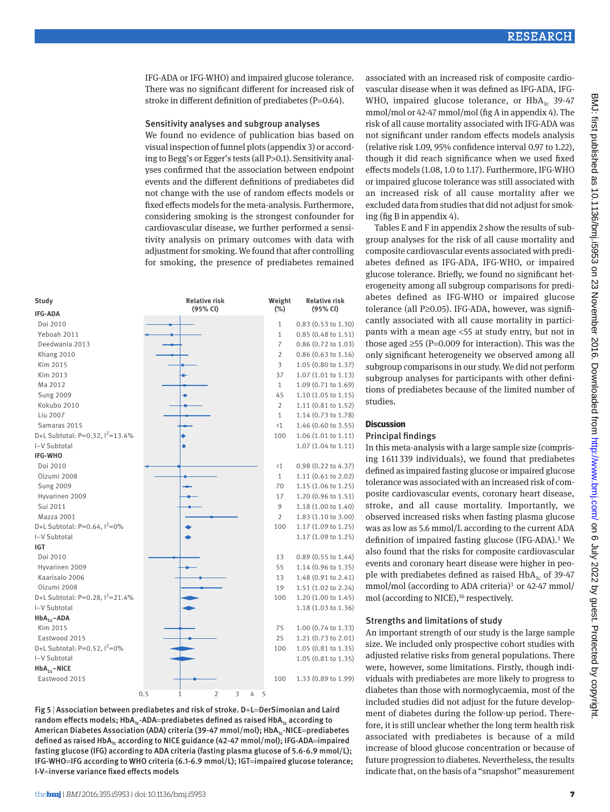IFG-ADA or IFG-WHO) and impaired glucose tolerance. There was no significant different for increased risk of stroke in different definition of prediabetes (P=0.64).

#### Sensitivity analyses and subgroup analyses

We found no evidence of publication bias based on visual inspection of funnel plots (appendix 3) or according to Begg's or Egger's tests (all P>0.1). Sensitivity analyses confirmed that the association between endpoint events and the different definitions of prediabetes did not change with the use of random effects models or fixed effects models for the meta-analysis. Furthermore, considering smoking is the strongest confounder for cardiovascular disease, we further performed a sensitivity analysis on primary outcomes with data with adjustment for smoking. We found that after controlling for smoking, the presence of prediabetes remained

| Study                              | <b>Relative risk</b>                      | Weight         | <b>Relative risk</b>  |
|------------------------------------|-------------------------------------------|----------------|-----------------------|
| <b>IFG-ADA</b>                     | (95% CI)                                  | $(\%)$         | (95% CI)              |
| Doi 2010                           |                                           | $\mathbf{1}$   | 0.83 (0.53 to 1.30)   |
| Yeboah 2011                        |                                           | $\mathbf{1}$   | 0.85 (0.48 to 1.51)   |
| Deedwania 2013                     |                                           | $\overline{7}$ | 0.86 (0.72 to 1.03)   |
| Khang 2010                         |                                           | $\overline{2}$ | $0.86$ (0.63 to 1.16) |
| Kim 2015                           |                                           | 3              | 1.05 (0.80 to 1.37)   |
| Kim 2013                           |                                           | 37             | 1.07 (1.01 to 1.13)   |
| Ma 2012                            |                                           | $\mathbf{1}$   | 1.09 (0.71 to 1.69)   |
| <b>Sung 2009</b>                   |                                           | 45             | 1.10 (1.05 to 1.15)   |
| Kokubo 2010                        |                                           | 2              | 1.11 (0.81 to 1.52)   |
| Liu 2007                           |                                           | $\mathbf{1}$   | 1.14 (0.73 to 1.78)   |
| Samaras 2015                       |                                           | $\langle 1$    | 1.46 (0.60 to 3.55)   |
| D+L Subtotal: P=0.32, $1^2$ =13.4% |                                           | 100            | 1.06 (1.01 to 1.11)   |
| I-V Subtotal                       |                                           |                | 1.07 (1.04 to 1.11)   |
| <b>IFG-WHO</b>                     |                                           |                |                       |
| Doi 2010                           |                                           | $\langle 1$    | 0.98 (0.22 to 4.37)   |
| Oizumi 2008                        |                                           | $\mathbf{1}$   | 1.11 (0.61 to 2.02)   |
| <b>Sung 2009</b>                   |                                           | 70             | 1.15 (1.06 to 1.25)   |
| Hyvarinen 2009                     |                                           | 17             | 1.20 (0.96 to 1.51)   |
| Sui 2011                           |                                           | 9              | 1.18 (1.00 to 1.40)   |
| Mazza 2001                         |                                           | $\overline{2}$ | 1.83 (1.10 to 3.00)   |
| D+L Subtotal: P=0.64, $1^2$ =0%    |                                           | 100            | 1.17 (1.09 to 1.25)   |
| I-V Subtotal                       |                                           |                | 1.17 (1.09 to 1.25)   |
| <b>IGT</b>                         |                                           |                |                       |
| Doi 2010                           |                                           | 13             | 0.89 (0.55 to 1.44)   |
| Hyvarinen 2009                     |                                           | 55             | 1.14 (0.96 to 1.35)   |
| Kaarisalo 2006                     |                                           | 13             | 1.48 (0.91 to 2.41)   |
| Oizumi 2008                        |                                           | 19             | 1.51 (1.02 to 2.24)   |
| D+L Subtotal: P=0.28, $1^2$ =21.4% |                                           | 100            | 1.20 (1.00 to 1.45)   |
| I-V Subtotal                       |                                           |                | 1.18 (1.03 to 1.36)   |
| $HbA_1$ <sub>c</sub> $-ADA$        |                                           |                |                       |
| Kim 2015                           |                                           | 75             | 1.00 (0.74 to 1.33)   |
| Eastwood 2015                      |                                           | 25             | 1.21 (0.73 to 2.01)   |
| D+L Subtotal: P=0.52, $I^2=0\%$    |                                           | 100            | 1.05 (0.81 to 1.35)   |
| I-V Subtotal                       |                                           |                | 1.05 (0.81 to 1.35)   |
| $HbA_1$ -NICE                      |                                           |                |                       |
| Eastwood 2015                      |                                           | 100            | 1.33 (0.89 to 1.99)   |
|                                    | 0.5<br>$\overline{2}$<br>1<br>3<br>4<br>5 |                |                       |
|                                    |                                           |                |                       |

Fig 5 | Association between prediabetes and risk of stroke. D+L=DerSimonian and Laird random effects models;  $HbA_{1c}$ -ADA=prediabetes defined as raised  $HbA_{1c}$  according to American Diabetes Association (ADA) criteria (39-47 mmol/mol); HbA<sub>1c</sub>-NICE=prediabetes defined as raised  $HbA_1c$  according to NICE guidance (42-47 mmol/mol); IFG-ADA=impaired fasting glucose (IFG) according to ADA criteria (fasting plasma glucose of 5.6-6.9 mmol/L); IFG-WHO=IFG according to WHO criteria (6.1-6.9 mmol/L); IGT=impaired glucose tolerance; I-V=inverse variance fixed effects models

associated with an increased risk of composite cardiovascular disease when it was defined as IFG-ADA, IFG-WHO, impaired glucose tolerance, or  $HbA_{1c}$  39-47 mmol/mol or 42-47 mmol/mol (fig A in appendix 4). The risk of all cause mortality associated with IFG-ADA was not significant under random effects models analysis (relative risk 1.09, 95% confidence interval 0.97 to 1.22), though it did reach significance when we used fixed effects models (1.08, 1.0 to 1.17). Furthermore, IFG-WHO or impaired glucose tolerance was still associated with an increased risk of all cause mortality after we excluded data from studies that did not adjust for smoking (fig B in appendix 4).

Tables E and F in appendix 2 show the results of subgroup analyses for the risk of all cause mortality and composite cardiovascular events associated with prediabetes defined as IFG-ADA, IFG-WHO, or impaired glucose tolerance. Briefly, we found no significant heterogeneity among all subgroup comparisons for prediabetes defined as IFG-WHO or impaired glucose tolerance (all P≥0.05). IFG-ADA, however, was significantly associated with all cause mortality in participants with a mean age <55 at study entry, but not in those aged  $\geq$ 55 (P=0.009 for interaction). This was the only significant heterogeneity we observed among all subgroup comparisons in our study. We did not perform subgroup analyses for participants with other definitions of prediabetes because of the limited number of studies.

# **Discussion**

## Principal findings

In this meta-analysis with a large sample size (comprising 1 611 339 individuals), we found that prediabetes defined as impaired fasting glucose or impaired glucose tolerance was associated with an increased risk of composite cardiovascular events, coronary heart disease, stroke, and all cause mortality. Importantly, we observed increased risks when fasting plasma glucose was as low as 5.6 mmol/L according to the current ADA definition of impaired fasting glucose (IFG-ADA).3 We also found that the risks for composite cardiovascular events and coronary heart disease were higher in people with prediabetes defined as raised  $HbA_{1c}$  of 39-47 mmol/mol (according to ADA criteria)<sup>3</sup> or 42-47 mmol/ mol (according to NICE),<sup>16</sup> respectively.

# Strengths and limitations of study

An important strength of our study is the large sample size. We included only prospective cohort studies with adjusted relative risks from general populations. There were, however, some limitations. Firstly, though individuals with prediabetes are more likely to progress to diabetes than those with normoglycaemia, most of the included studies did not adjust for the future development of diabetes during the follow-up period. Therefore, it is still unclear whether the long term health risk associated with prediabetes is because of a mild increase of blood glucose concentration or because of future progression to diabetes. Nevertheless, the results indicate that, on the basis of a "snapshot" measurement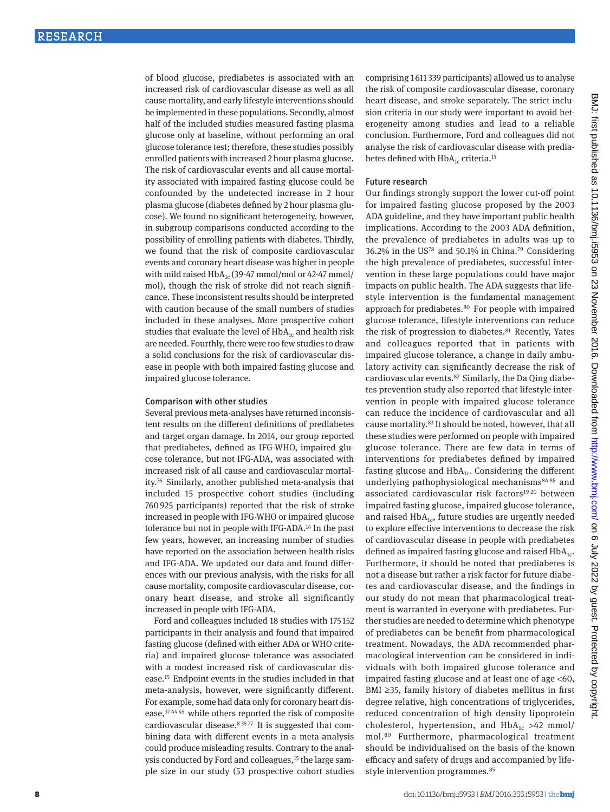of blood glucose, prediabetes is associated with an increased risk of cardiovascular disease as well as all cause mortality, and early lifestyle interventions should be implemented in these populations. Secondly, almost half of the included studies measured fasting plasma glucose only at baseline, without performing an oral glucose tolerance test; therefore, these studies possibly enrolled patients with increased 2 hour plasma glucose. The risk of cardiovascular events and all cause mortality associated with impaired fasting glucose could be confounded by the undetected increase in 2 hour plasma glucose (diabetes defined by 2 hour plasma glucose). We found no significant heterogeneity, however, in subgroup comparisons conducted according to the possibility of enrolling patients with diabetes. Thirdly, we found that the risk of composite cardiovascular events and coronary heart disease was higher in people with mild raised  $HbA_{1c}$  (39-47 mmol/mol or 42-47 mmol/ mol), though the risk of stroke did not reach significance. These inconsistent results should be interpreted with caution because of the small numbers of studies included in these analyses. More prospective cohort studies that evaluate the level of  $HbA_{1c}$  and health risk are needed. Fourthly, there were too few studies to draw a solid conclusions for the risk of cardiovascular disease in people with both impaired fasting glucose and impaired glucose tolerance.

#### Comparison with other studies

Several previous meta-analyses have returned inconsistent results on the different definitions of prediabetes and target organ damage. In 2014, our group reported that prediabetes, defined as IFG-WHO, impaired glucose tolerance, but not IFG-ADA, was associated with increased risk of all cause and cardiovascular mortality.76 Similarly, another published meta-analysis that included 15 prospective cohort studies (including 760 925 participants) reported that the risk of stroke increased in people with IFG-WHO or impaired glucose tolerance but not in people with IFG-ADA.14 In the past few years, however, an increasing number of studies have reported on the association between health risks and IFG-ADA. We updated our data and found differences with our previous analysis, with the risks for all cause mortality, composite cardiovascular disease, coronary heart disease, and stroke all significantly increased in people with IFG-ADA.

Ford and colleagues included 18 studies with 175 152 participants in their analysis and found that impaired fasting glucose (defined with either ADA or WHO criteria) and impaired glucose tolerance was associated with a modest increased risk of cardiovascular disease.15 Endpoint events in the studies included in that meta-analysis, however, were significantly different. For example, some had data only for coronary heart disease,<sup>374445</sup> while others reported the risk of composite cardiovascular disease.<sup>8 3577</sup> It is suggested that combining data with different events in a meta-analysis could produce misleading results. Contrary to the analysis conducted by Ford and colleagues,<sup>15</sup> the large sample size in our study (53 prospective cohort studies

comprising 1611 339 participants) allowed us to analyse the risk of composite cardiovascular disease, coronary heart disease, and stroke separately. The strict inclusion criteria in our study were important to avoid heterogeneity among studies and lead to a reliable conclusion. Furthermore, Ford and colleagues did not analyse the risk of cardiovascular disease with prediabetes defined with  $HbA_{1c}$  criteria.<sup>15</sup>

#### Future research

Our findings strongly support the lower cut-off point for impaired fasting glucose proposed by the 2003 ADA guideline, and they have important public health implications. According to the 2003 ADA definition, the prevalence of prediabetes in adults was up to 36.2% in the US78 and 50.1% in China.79 Considering the high prevalence of prediabetes, successful intervention in these large populations could have major impacts on public health. The ADA suggests that lifestyle intervention is the fundamental management approach for prediabetes.<sup>80</sup> For people with impaired glucose tolerance, lifestyle interventions can reduce the risk of progression to diabetes.<sup>81</sup> Recently, Yates and colleagues reported that in patients with impaired glucose tolerance, a change in daily ambulatory activity can significantly decrease the risk of cardiovascular events.82 Similarly, the Da Qing diabetes prevention study also reported that lifestyle intervention in people with impaired glucose tolerance can reduce the incidence of cardiovascular and all cause mortality.83 It should be noted, however, that all these studies were performed on people with impaired glucose tolerance. There are few data in terms of interventions for prediabetes defined by impaired fasting glucose and  $HbA_{1c}$ . Considering the different underlying pathophysiological mechanisms<sup>84 85</sup> and associated cardiovascular risk factors<sup>1920</sup> between impaired fasting glucose, impaired glucose tolerance, and raised  $HbA_{1c}$ , future studies are urgently needed to explore effective interventions to decrease the risk of cardiovascular disease in people with prediabetes defined as impaired fasting glucose and raised  $HbA_{1c}$ . Furthermore, it should be noted that prediabetes is not a disease but rather a risk factor for future diabetes and cardiovascular disease, and the findings in our study do not mean that pharmacological treatment is warranted in everyone with prediabetes. Further studies are needed to determine which phenotype of prediabetes can be benefit from pharmacological treatment. Nowadays, the ADA recommended pharmacological intervention can be considered in individuals with both impaired glucose tolerance and impaired fasting glucose and at least one of age <60, BMI ≥35, family history of diabetes mellitus in first degree relative, high concentrations of triglycerides, reduced concentration of high density lipoprotein cholesterol, hypertension, and  $HbA_{1c} > 42$  mmol/ mol.80 Furthermore, pharmacological treatment should be individualised on the basis of the known efficacy and safety of drugs and accompanied by lifestyle intervention programmes.<sup>85</sup>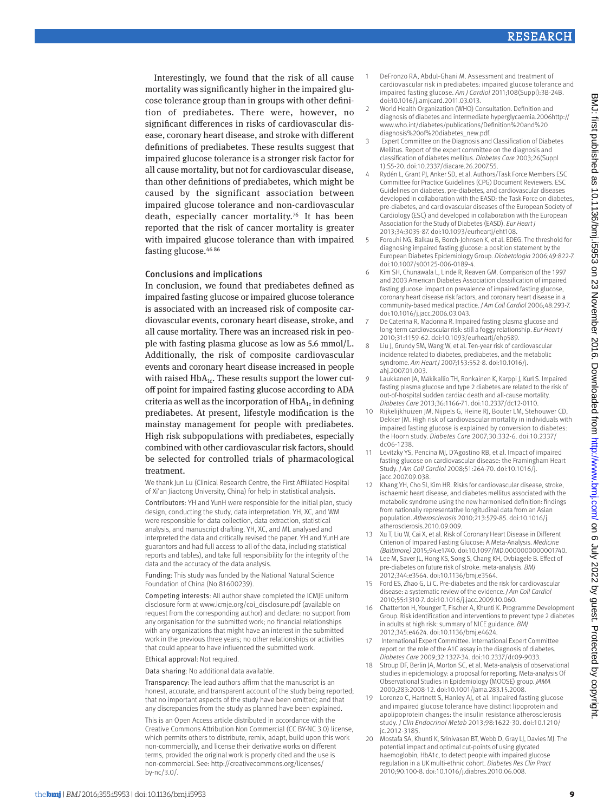Interestingly, we found that the risk of all cause mortality was significantly higher in the impaired glucose tolerance group than in groups with other definition of prediabetes. There were, however, no significant differences in risks of cardiovascular disease, coronary heart disease, and stroke with different definitions of prediabetes. These results suggest that impaired glucose tolerance is a stronger risk factor for all cause mortality, but not for cardiovascular disease, than other definitions of prediabetes, which might be caused by the significant association between impaired glucose tolerance and non-cardiovascular death, especially cancer mortality.76 It has been reported that the risk of cancer mortality is greater with impaired glucose tolerance than with impaired fasting glucose.46 <sup>86</sup>

#### Conclusions and implications

In conclusion, we found that prediabetes defined as impaired fasting glucose or impaired glucose tolerance is associated with an increased risk of composite cardiovascular events, coronary heart disease, stroke, and all cause mortality. There was an increased risk in people with fasting plasma glucose as low as 5.6 mmol/L. Additionally, the risk of composite cardiovascular events and coronary heart disease increased in people with raised  $HbA_{1c}$ . These results support the lower cutoff point for impaired fasting glucose according to ADA criteria as well as the incorporation of  $HbA_{1c}$  in defining prediabetes. At present, lifestyle modification is the mainstay management for people with prediabetes. High risk subpopulations with prediabetes, especially combined with other cardiovascular risk factors, should be selected for controlled trials of pharmacological treatment.

We thank Jun Lu (Clinical Research Centre, the First Affiliated Hospital of Xi'an Jiaotong University, China) for help in statistical analysis.

Contributors: YH and YunH were responsible for the initial plan, study design, conducting the study, data interpretation. YH, XC, and WM were responsible for data collection, data extraction, statistical analysis, and manuscript drafting. YH, XC, and ML analysed and interpreted the data and critically revised the paper. YH and YunH are guarantors and had full access to all of the data, including statistical reports and tables), and take full responsibility for the integrity of the data and the accuracy of the data analysis.

Funding: This study was funded by the National Natural Science Foundation of China (No 81600239).

Competing interests: All author shave completed the ICMJE uniform disclosure form at www.icmje.org/coi\_disclosure.pdf (available on request from the corresponding author) and declare: no support from any organisation for the submitted work; no financial relationships with any organizations that might have an interest in the submitted work in the previous three years; no other relationships or activities that could appear to have influenced the submitted work.

Ethical approval: Not required.

Data sharing: No additional data available.

Transparency: The lead authors affirm that the manuscript is an honest, accurate, and transparent account of the study being reported; that no important aspects of the study have been omitted; and that any discrepancies from the study as planned have been explained.

This is an Open Access article distributed in accordance with the Creative Commons Attribution Non Commercial (CC BY-NC 3.0) license, which permits others to distribute, remix, adapt, build upon this work non-commercially, and license their derivative works on different terms, provided the original work is properly cited and the use is non-commercial. See: http://creativecommons.org/licenses/ by-nc/3.0/.

- 1 DeFronzo RA, Abdul-Ghani M. Assessment and treatment of cardiovascular risk in prediabetes: impaired glucose tolerance and impaired fasting glucose. *Am J Cardiol* 2011;108(Suppl):3B-24B. doi:10.1016/j.amjcard.2011.03.013.
- 2 World Health Organization (WHO) Consultation. Definition and diagnosis of diabetes and intermediate hyperglycaemia.2006http:// www.who.int/diabetes/publications/Definition%20and%20 diagnosis%20of%20diabetes\_new.pdf.
- 3 Expert Committee on the Diagnosis and Classification of Diabetes Mellitus. Report of the expert committee on the diagnosis and classification of diabetes mellitus. *Diabetes Care* 2003;26(Suppl 1):S5-20. doi:10.2337/diacare.26.2007.S5.
- 4 Rydén L, Grant PJ, Anker SD, et al. Authors/Task Force Members ESC Committee for Practice Guidelines (CPG) Document Reviewers. ESC Guidelines on diabetes, pre-diabetes, and cardiovascular diseases developed in collaboration with the EASD: the Task Force on diabetes, pre-diabetes, and cardiovascular diseases of the European Society of Cardiology (ESC) and developed in collaboration with the European Association for the Study of Diabetes (EASD). *Eur Heart J* 2013;34:3035-87. doi:10.1093/eurheartj/eht108.
- 5 Forouhi NG, Balkau B, Borch-Johnsen K, et al. EDEG. The threshold for diagnosing impaired fasting glucose: a position statement by the European Diabetes Epidemiology Group. *Diabetologia* 2006;49:822-7. doi:10.1007/s00125-006-0189-4.
- 6 Kim SH, Chunawala L, Linde R, Reaven GM. Comparison of the 1997 and 2003 American Diabetes Association classification of impaired fasting glucose: impact on prevalence of impaired fasting glucose, coronary heart disease risk factors, and coronary heart disease in a community-based medical practice. *J Am Coll Cardiol* 2006;48:293-7. doi:10.1016/j.jacc.2006.03.043.
- De Caterina R, Madonna R. Impaired fasting plasma glucose and long-term cardiovascular risk: still a foggy relationship. *Eur Heart J* 2010;31:1159-62. doi:10.1093/eurheartj/ehp589.
- Liu J, Grundy SM, Wang W, et al. Ten-year risk of cardiovascular incidence related to diabetes, prediabetes, and the metabolic syndrome. *Am Heart J* 2007;153:552-8. doi:10.1016/j. ahj.2007.01.003.
- Laukkanen JA, Mäkikallio TH, Ronkainen K, Karppi J, Kurl S. Impaired fasting plasma glucose and type 2 diabetes are related to the risk of out-of-hospital sudden cardiac death and all-cause mortality. *Diabetes Care* 2013;36:1166-71. doi:10.2337/dc12-0110.
- 10 Rijkelijkhuizen JM, Nijpels G, Heine RJ, Bouter LM, Stehouwer CD, Dekker JM. High risk of cardiovascular mortality in individuals with impaired fasting glucose is explained by conversion to diabetes: the Hoorn study. *Diabetes Care* 2007;30:332-6. doi:10.2337/ dc06-1238.
- 11 Levitzky YS, Pencina MJ, D'Agostino RB, et al. Impact of impaired fasting glucose on cardiovascular disease: the Framingham Heart Study. *J Am Coll Cardiol* 2008;51:264-70. doi:10.1016/j. jacc.2007.09.038.
- 12 Khang YH, Cho SI, Kim HR. Risks for cardiovascular disease, stroke, ischaemic heart disease, and diabetes mellitus associated with the metabolic syndrome using the new harmonised definition: findings from nationally representative longitudinal data from an Asian population. *Atherosclerosis* 2010;213:579-85. doi:10.1016/j. atherosclerosis.2010.09.009.
- 13 Xu T, Liu W, Cai X, et al. Risk of Coronary Heart Disease in Different Criterion of Impaired Fasting Glucose: A Meta-Analysis. *Medicine (Baltimore)* 2015;94:e1740. doi:10.1097/MD.0000000000001740.
- 14 Lee M, Saver JL, Hong KS, Song S, Chang KH, Ovbiagele B. Effect of pre-diabetes on future risk of stroke: meta-analysis. *BMJ* 2012;344:e3564. doi:10.1136/bmj.e3564.
- 15 Ford ES, Zhao G, Li C. Pre-diabetes and the risk for cardiovascular disease: a systematic review of the evidence. *J Am Coll Cardiol* 2010;55:1310-7. doi:10.1016/j.jacc.2009.10.060.
- 16 Chatterton H, Younger T, Fischer A, Khunti K. Programme Development Group. Risk identification and interventions to prevent type 2 diabetes in adults at high risk: summary of NICE guidance. *BMJ* 2012;345:e4624. doi:10.1136/bmj.e4624.
- 17 International Expert Committee. International Expert Committee report on the role of the A1C assay in the diagnosis of diabetes. *Diabetes Care* 2009;32:1327-34. doi:10.2337/dc09-9033.
- Stroup DF, Berlin JA, Morton SC, et al. Meta-analysis of observational studies in epidemiology: a proposal for reporting. Meta-analysis Of Observational Studies in Epidemiology (MOOSE) group. *JAMA* 2000;283:2008-12. doi:10.1001/jama.283.15.2008.
- 19 Lorenzo C, Hartnett S, Hanley AJ, et al. Impaired fasting glucose and impaired glucose tolerance have distinct lipoprotein and apolipoprotein changes: the insulin resistance atherosclerosis study. *J Clin Endocrinol Metab* 2013;98:1622-30. doi:10.1210/ jc.2012-3185.
- 20 Mostafa SA, Khunti K, Srinivasan BT, Webb D, Gray LJ, Davies MJ. The potential impact and optimal cut-points of using glycated haemoglobin, HbA1c, to detect people with impaired glucose regulation in a UK multi-ethnic cohort. *Diabetes Res Clin Pract* 2010;90:100-8. doi:10.1016/j.diabres.2010.06.008.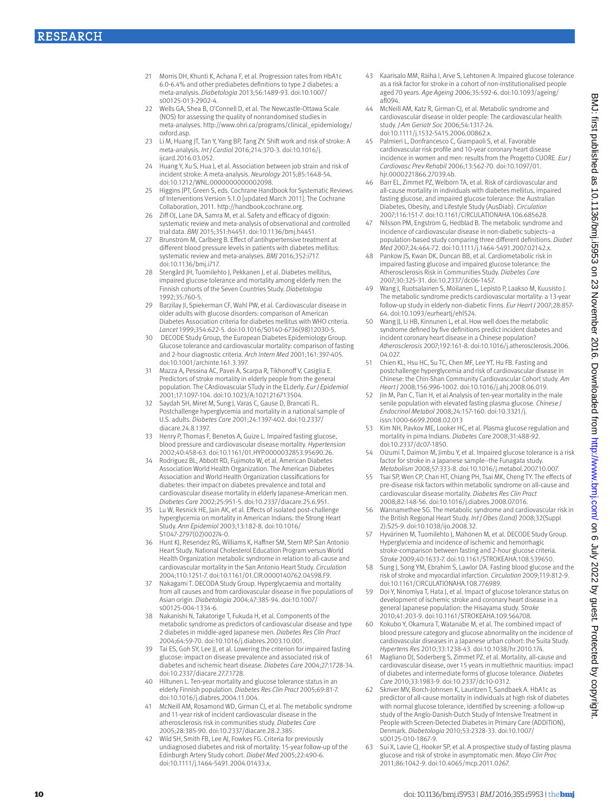- 21 Morris DH, Khunti K, Achana F, et al. Progression rates from HbA1c 6.0-6.4% and other prediabetes definitions to type 2 diabetes: a meta-analysis. *Diabetologia* 2013;56:1489-93. doi:10.1007/ s00125-013-2902-4.
- 22 Wells GA, Shea B, O'Connell D, et al. The Newcastle-Ottawa Scale (NOS) for assessing the quality of nonrandomised studies in meta-analyses. http://www.ohri.ca/programs/clinical\_epidemiology/ oxford.asp.
- 23 Li M, Huang JT, Tan Y, Yang BP, Tang ZY. Shift work and risk of stroke: A meta-analysis. *Int J Cardiol* 2016;214:370-3. doi:10.1016/j. ijcard.2016.03.052
- 24 Huang Y, Xu S, Hua J, et al. Association between job strain and risk of incident stroke: A meta-analysis. *Neurology* 2015;85:1648-54. doi:10.1212/WNL.0000000000002098.
- 25 Higgins JPT, Green S, eds. Cochrane Handbook for Systematic Reviews of Interventions Version 5.1.0 [updated March 2011]. The Cochrane Collaboration, 2011. http://handbook.cochrane.org.
- 26 Ziff OJ, Lane DA, Samra M, et al. Safety and efficacy of digoxin: systematic review and meta-analysis of observational and controlled trial data. *BMJ* 2015;351:h4451. doi:10.1136/bmj.h4451.
- 27 Brunström M, Carlberg B. Effect of antihypertensive treatment at different blood pressure levels in patients with diabetes mellitus: systematic review and meta-analyses. *BMJ* 2016;352:i717. doi:10.1136/bmj.i717.
- 28 Stengård JH, Tuomilehto J, Pekkanen J, et al. Diabetes mellitus, impaired glucose tolerance and mortality among elderly men: the Finnish cohorts of the Seven Countries Study. *Diabetologia* 1992;35:760-5.
- 29 Barzilay JI, Spiekerman CF, Wahl PW, et al. Cardiovascular disease in older adults with glucose disorders: comparison of American Diabetes Association criteria for diabetes mellitus with WHO criteria. *Lancet* 1999;354:622-5. doi:10.1016/S0140-6736(98)12030-5.
- DECODE Study Group, the European Diabetes Epidemiology Group. Glucose tolerance and cardiovascular mortality: comparison of fasting and 2-hour diagnostic criteria. *Arch Intern Med* 2001;161:397-405. doi:10.1001/archinte.161.3.397.
- 31 Mazza A, Pessina AC, Pavei A, Scarpa R, Tikhonoff V, Casiglia E. Predictors of stroke mortality in elderly people from the general population. The CArdiovascular STudy in the ELderly. *Eur J Epidemiol* 2001;17:1097-104. doi:10.1023/A:1021216713504.
- Saydah SH, Miret M, Sung J, Varas C, Gause D, Brancati FL. Postchallenge hyperglycemia and mortality in a national sample of U.S. adults. *Diabetes Care* 2001;24:1397-402. doi:10.2337/ diacare.24.8.1397.
- 33 Henry P, Thomas F, Benetos A, Guize L. Impaired fasting glucose, blood pressure and cardiovascular disease mortality. *Hypertension* 2002;40:458-63. doi:10.1161/01.HYP.0000032853.95690.26.
- 34 Rodriguez BL, Abbott RD, Fujimoto W, et al. American Diabetes Association World Health Organization. The American Diabetes Association and World Health Organization classifications for diabetes: their impact on diabetes prevalence and total and cardiovascular disease mortality in elderly Japanese-American men. *Diabetes Care* 2002;25:951-5. doi:10.2337/diacare.25.6.951.
- 35 Lu W, Resnick HE, Jain AK, et al. Effects of isolated post-challenge hyperglycemia on mortality in American Indians: the Strong Heart Study. *Ann Epidemiol* 2003;13:182-8. doi:10.1016/ S1047-2797(02)00274-0.
- 36 Hunt KJ, Resendez RG, Williams K, Haffner SM, Stern MP. San Antonio Heart Study. National Cholesterol Education Program versus World Health Organization metabolic syndrome in relation to all-cause and cardiovascular mortality in the San Antonio Heart Study. *Circulation* 2004;110:1251-7. doi:10.1161/01.CIR.0000140762.04598.F9.
- 37 Nakagami T. DECODA Study Group. Hyperglycaemia and mortality from all causes and from cardiovascular disease in five populations of Asian origin. *Diabetologia* 2004;47:385-94. doi:10.1007/ s00125-004-1334-6.
- 38 Nakanishi N, Takatorige T, Fukuda H, et al. Components of the metabolic syndrome as predictors of cardiovascular disease and type 2 diabetes in middle-aged Japanese men. *Diabetes Res Clin Pract* 2004;64:59-70. doi:10.1016/j.diabres.2003.10.001.
- 39 Tai ES, Goh SY, Lee JJ, et al. Lowering the criterion for impaired fasting glucose: impact on disease prevalence and associated risk of diabetes and ischemic heart disease. *Diabetes Care* 2004;27:1728-34. doi:10.2337/diacare.27.7.1728.
- 40 Hiltunen L. Ten-year mortality and glucose tolerance status in an elderly Finnish population. *Diabetes Res Clin Pract* 2005;69:81-7. doi:10.1016/j.diabres.2004.11.004.
- 41 McNeill AM, Rosamond WD, Girman CJ, et al. The metabolic syndrome and 11-year risk of incident cardiovascular disease in the atherosclerosis risk in communities study. *Diabetes Care* 2005;28:385-90. doi:10.2337/diacare.28.2.385.
- 42 Wild SH, Smith FB, Lee AJ, Fowkes FG. Criteria for previously undiagnosed diabetes and risk of mortality: 15-year follow-up of the Edinburgh Artery Study cohort. *Diabet Med* 2005;22:490-6. doi:10.1111/j.1464-5491.2004.01433.x.
- 43 Kaarisalo MM, Räihä I, Arve S, Lehtonen A. Impaired glucose tolerance as a risk factor for stroke in a cohort of non-institutionalised people aged 70 years. *Age Ageing* 2006;35:592-6. doi:10.1093/ageing/ afl094.
- 44 McNeill AM, Katz R, Girman CJ, et al. Metabolic syndrome and cardiovascular disease in older people: The cardiovascular health study. *J Am Geriatr Soc* 2006;54:1317-24. doi:10.1111/j.1532-5415.2006.00862.x.
- 45 Palmieri L, Donfrancesco C, Giampaoli S, et al. Favorable cardiovascular risk profile and 10-year coronary heart disease incidence in women and men: results from the Progetto CUORE. *Eur J Cardiovasc Prev Rehabil* 2006;13:562-70. doi:10.1097/01. hjr.0000221866.27039.4b.
- 46 Barr EL, Zimmet PZ, Welborn TA, et al. Risk of cardiovascular and all-cause mortality in individuals with diabetes mellitus, impaired fasting glucose, and impaired glucose tolerance: the Australian Diabetes, Obesity, and Lifestyle Study (AusDiab). *Circulation* 2007;116:151-7. doi:10.1161/CIRCULATIONAHA.106.685628.
- 47 Nilsson PM, Engström G, Hedblad B. The metabolic syndrome and incidence of cardiovascular disease in non-diabetic subjects--a population-based study comparing three different definitions. *Diabet Med* 2007;24:464-72. doi:10.1111/j.1464-5491.2007.02142.x.
- 48 Pankow JS, Kwan DK, Duncan BB, et al. Cardiometabolic risk in impaired fasting glucose and impaired glucose tolerance: the Atherosclerosis Risk in Communities Study. *Diabetes Care* 2007;30:325-31. doi:10.2337/dc06-1457.
- 49 Wang J, Ruotsalainen S, Moilanen L, Lepistö P, Laakso M, Kuusisto J. The metabolic syndrome predicts cardiovascular mortality: a 13-year follow-up study in elderly non-diabetic Finns. *Eur Heart J* 2007;28:857- 64. doi:10.1093/eurheartj/ehl524.
- 50 Wang JJ, Li HB, Kinnunen L, et al. How well does the metabolic syndrome defined by five definitions predict incident diabetes and incident coronary heart disease in a Chinese population? *Atherosclerosis* 2007;192:161-8. doi:10.1016/j.atherosclerosis.2006. 04.027.
- Chien KL, Hsu HC, Su TC, Chen MF, Lee YT, Hu FB. Fasting and postchallenge hyperglycemia and risk of cardiovascular disease in Chinese: the Chin-Shan Community Cardiovascular Cohort study. *Am Heart J* 2008;156:996-1002. doi:10.1016/j.ahj.2008.06.019.
- 52 Jin M, Pan C, Tian H, et al Analysis of ten-year mortality in the male senile population with elevated fasting plasma glucose. *Chinese J Endocrinol Metabol* 2008;24:157-160. doi:10.3321/j. issn:1000-6699.2008.02.013
- 53 Kim NH, Pavkov ME, Looker HC, et al. Plasma glucose regulation and mortality in pima Indians. *Diabetes Care* 2008;31:488-92. doi:10.2337/dc07-1850.
- 54 Oizumi T, Daimon M, Jimbu Y, et al. Impaired glucose tolerance is a risk factor for stroke in a Japanese sample--the Funagata study. *Metabolism* 2008;57:333-8. doi:10.1016/j.metabol.2007.10.007.
- 55 Tsai SP, Wen CP, Chan HT, Chiang PH, Tsai MK, Cheng TY. The effects of pre-disease risk factors within metabolic syndrome on all-cause and cardiovascular disease mortality. *Diabetes Res Clin Pract* 2008;82:148-56. doi:10.1016/j.diabres.2008.07.016.
- 56 Wannamethee SG. The metabolic syndrome and cardiovascular risk in the British Regional Heart Study. *Int J Obes (Lond)* 2008;32(Suppl 2):S25-9. doi:10.1038/ijo.2008.32.
- Hyvärinen M, Tuomilehto J, Mähönen M, et al. DECODE Study Group. Hyperglycemia and incidence of ischemic and hemorrhagic stroke-comparison between fasting and 2-hour glucose criteria. *Stroke* 2009;40:1633-7. doi:10.1161/STROKEAHA.108.539650.
- 58 Sung J, Song YM, Ebrahim S, Lawlor DA. Fasting blood glucose and the risk of stroke and myocardial infarction. *Circulation* 2009;119:812-9. doi:10.1161/CIRCULATIONAHA.108.776989.
- 59 Doi Y, Ninomiya T, Hata J, et al. Impact of glucose tolerance status on development of ischemic stroke and coronary heart disease in a general Japanese population: the Hisayama study. *Stroke* 2010;41:203-9. doi:10.1161/STROKEAHA.109.564708.
- 60 Kokubo Y, Okamura T, Watanabe M, et al. The combined impact of blood pressure category and glucose abnormality on the incidence of cardiovascular diseases in a Japanese urban cohort: the Suita Study. *Hypertens Res* 2010;33:1238-43. doi:10.1038/hr.2010.174.
- 61 Magliano DJ, Söderberg S, Zimmet PZ, et al. Mortality, all-cause and cardiovascular disease, over 15 years in multiethnic mauritius: impact of diabetes and intermediate forms of glucose tolerance. *Diabetes Care* 2010;33:1983-9. doi:10.2337/dc10-0312.
- Skriver MV, Borch-Johnsen K, Lauritzen T, Sandbaek A. HbA1c as predictor of all-cause mortality in individuals at high risk of diabetes with normal glucose tolerance, identified by screening: a follow-up study of the Anglo-Danish-Dutch Study of Intensive Treatment in People with Screen-Detected Diabetes in Primary Care (ADDITION), Denmark. *Diabetologia* 2010;53:2328-33. doi:10.1007/ s00125-010-1867-9.
- 63 Sui X, Lavie CJ, Hooker SP, et al. A prospective study of fasting plasma glucose and risk of stroke in asymptomatic men. *Mayo Clin Proc* 2011;86:1042-9. doi:10.4065/mcp.2011.0267.